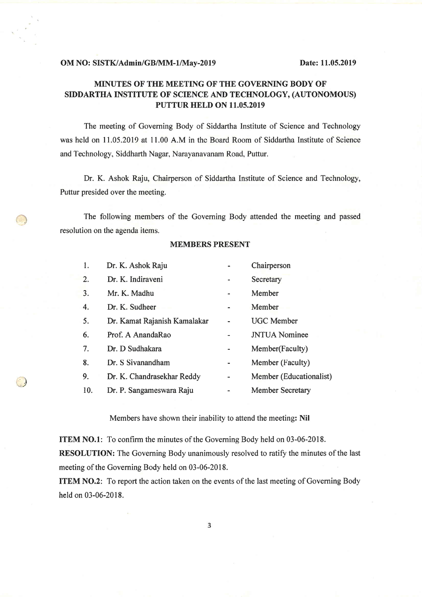## MINUTES OF THE MEETING OF THE GOYERNING BODY OF SIDDARTHA INSTITUTE OF SCIENCE AND TECHNOLOGY, (AUTONOMOUS) PUTTUR HELD ON 11.05.2019

The meeting of Governing Body of Siddartha Institute of Science and Technology was hcld on 11.05.2019 at 11.00 A.M in thc Board Room of Siddortha Institute of Science and Technology, Siddharth Nagar, Narayanavanam Road, Puttur.

Dr. K. Ashok Raju, Chairperson of Siddartha Institute of Science and Technology, Puttur presided over the meeting,

The following members of the Governing Body attended the meeting and passed resolution on the agenda items.

## MEMBERS PRESENT

|                                        | 1.  | Dr. K. Ashok Raju            |   | Chairperson             |
|----------------------------------------|-----|------------------------------|---|-------------------------|
|                                        | 2.  | Dr. K. Indiraveni            |   | Secretary               |
|                                        | 3.  | Mr. K. Madhu                 |   | Member                  |
|                                        | 4.  | Dr. K. Sudheer               | ۰ | Member                  |
|                                        | 5.  | Dr. Kamat Rajanish Kamalakar |   | <b>UGC</b> Member       |
|                                        | 6.  | Prof. A AnandaRao            | - | <b>JNTUA</b> Nominee    |
|                                        | 7.  | Dr. D Sudhakara              |   | Member(Faculty)         |
|                                        | 8.  | Dr. S Sivanandham            |   | Member (Faculty)        |
| $\begin{pmatrix} 1 \\ 1 \end{pmatrix}$ | 9.  | Dr. K. Chandrasekhar Reddy   |   | Member (Educationalist) |
|                                        | 10. | Dr. P. Sangameswara Raju     | - | <b>Member Secretary</b> |

Members have shown their inability to attend the meeting: Nil

ITEM NO.l: To confirm the minutes of the Governing Body held on 03-06-2018. RESOLUTION: The Governing Body unanimously resolved to ratify the minutes of the last meeting of the Governing Body held on 03-06-2018.

ITEM NO.2: To report the action taken on the events of the last meeting of Governing Body held on 03-06-2018.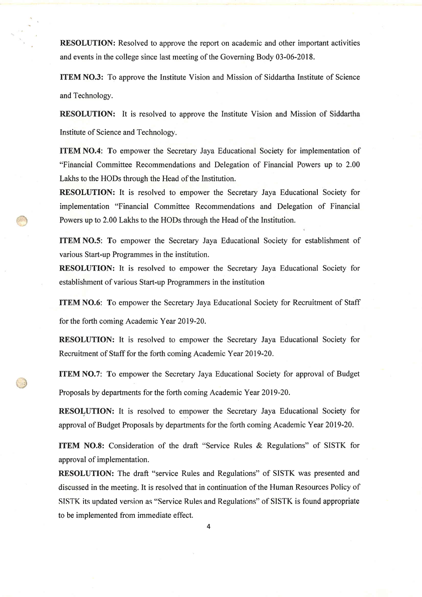RESOLUTION: Resolved to approve the report on academic and other important activities and events in the college since last meeting of the Governing Body 03-06-2018.

ITEM NO.3: To approve the Institute Vision and Mission of Siddartha Institute of Science and Technology.

RESOLUTION: It is resolved to approve the Institute Vision and Mission of Siddartha Institute of Science and Technology.

ITEM NO.4: To empower the Secretary Jaya Educational Society for implementation of "Financial Committee Recommendations and Delegation of Financial Powers up to 2.00 Lakhs to the HODs through the Head of the Institution.

RESOLUTION: It is resolved to empower the Secretary Jaya Educational Society for implementation "Financial Committee Recommendations and Delegation of Financial Powers up to 2.00 Lakhs to the HODs through the Head of the Institution.

ITEM N0.5: To empower the Secretary Jaya Educational Society for establishment of various Start-up Programmes in the institution.

RESOLUTION: It is resolved to empower the Secretary Jaya Educational Society for establishment of various Start-up Programmers in the institution

ITEM NO.6: To empower the Secretary Jaya Educational Society for Recruitment of Staff

for the forth coming Academic Year 2019-20.

RESOLUTION: It is resolved to empower the Secretary Jaya Educational Society for Recruitment of Staff for the forth coming Academic Year 2019-20.

ITEM NO.7: To empower the Secretary Jaya Educational Society for approval of Budget Proposals by departments for the forth coming Academic Year 2019-20.

RESOLUTION: It is resolved to empower the Secretary Jaya Educational Society for approval of Budget Proposals by departments forthe forth coming Academic Year 2019-20.

ITEM NO.8: Consideration of the draft "Service Rules & Regulations" of SISTK for approval of implementation.

RESOLUTION: The draft "service Rules and Regulations" of SISTK was presented and discussed in the meeting. It is resolved that in continuation of the Human Resources Policy of STSTK its updated version as "service Rules and Regulations" of SISTK is found appropriate to be implemented from immediate effect.